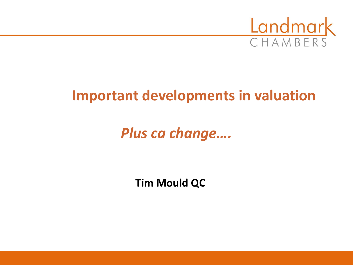

# **Important developments in valuation**

*Plus ca change….*

**Tim Mould QC**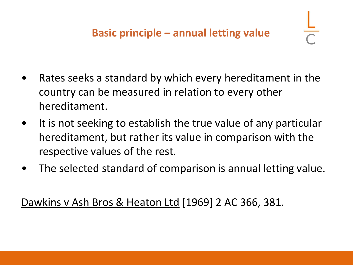- Rates seeks a standard by which every hereditament in the country can be measured in relation to every other hereditament.
- It is not seeking to establish the true value of any particular hereditament, but rather its value in comparison with the respective values of the rest.
- The selected standard of comparison is annual letting value.

Dawkins v Ash Bros & Heaton Ltd [1969] 2 AC 366, 381.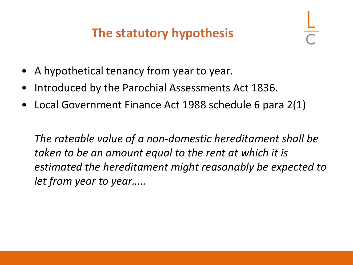## **The statutory hypothesis**

- A hypothetical tenancy from year to year.
- Introduced by the Parochial Assessments Act 1836.
- Local Government Finance Act 1988 schedule 6 para 2(1)

*The rateable value of a non-domestic hereditament shall be taken to be an amount equal to the rent at which it is estimated the hereditament might reasonably be expected to let from year to year…..*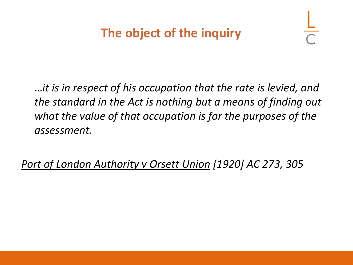…*it is in respect of his occupation that the rate is levied, and the standard in the Act is nothing but a means of finding out what the value of that occupation is for the purposes of the assessment.*

*Port of London Authority v Orsett Union [1920] AC 273, 305*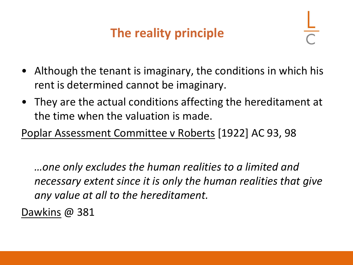## **The reality principle**

- Although the tenant is imaginary, the conditions in which his rent is determined cannot be imaginary.
- They are the actual conditions affecting the hereditament at the time when the valuation is made.

Poplar Assessment Committee v Roberts [1922] AC 93, 98

*…one only excludes the human realities to a limited and necessary extent since it is only the human realities that give any value at all to the hereditament.*

Dawkins @ 381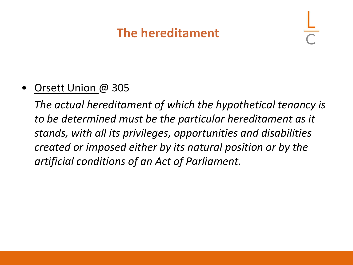### **The hereditament**

#### • Orsett Union @ 305

*The actual hereditament of which the hypothetical tenancy is to be determined must be the particular hereditament as it stands, with all its privileges, opportunities and disabilities created or imposed either by its natural position or by the artificial conditions of an Act of Parliament.*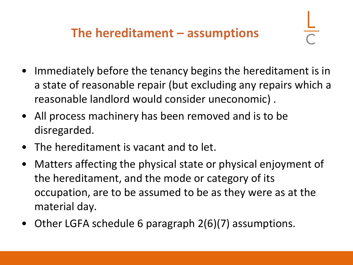- Immediately before the tenancy begins the hereditament is in a state of reasonable repair (but excluding any repairs which a reasonable landlord would consider uneconomic) .
- All process machinery has been removed and is to be disregarded.
- The hereditament is vacant and to let.
- Matters affecting the physical state or physical enjoyment of the hereditament, and the mode or category of its occupation, are to be assumed to be as they were as at the material day.
- Other LGFA schedule 6 paragraph 2(6)(7) assumptions.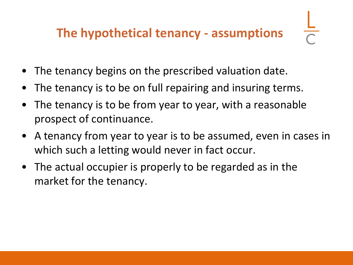## **The hypothetical tenancy - assumptions**

- The tenancy begins on the prescribed valuation date.
- The tenancy is to be on full repairing and insuring terms.
- The tenancy is to be from year to year, with a reasonable prospect of continuance.
- A tenancy from year to year is to be assumed, even in cases in which such a letting would never in fact occur.
- The actual occupier is properly to be regarded as in the market for the tenancy.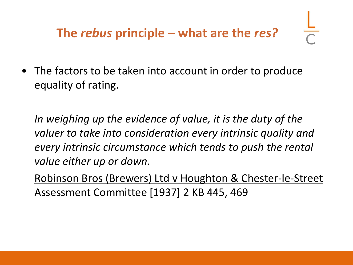• The factors to be taken into account in order to produce equality of rating.

*In weighing up the evidence of value, it is the duty of the valuer to take into consideration every intrinsic quality and every intrinsic circumstance which tends to push the rental value either up or down.*

Robinson Bros (Brewers) Ltd v Houghton & Chester-le-Street Assessment Committee [1937] 2 KB 445, 469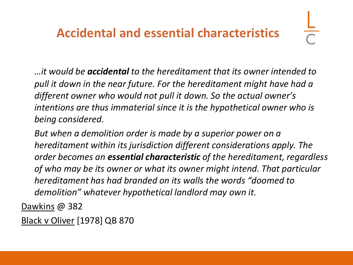### **Accidental and essential characteristics**

*…it would be accidental to the hereditament that its owner intended to pull it down in the near future. For the hereditament might have had a different owner who would not pull it down. So the actual owner's intentions are thus immaterial since it is the hypothetical owner who is being considered.* 

*But when a demolition order is made by a superior power on a hereditament within its jurisdiction different considerations apply. The order becomes an essential characteristic of the hereditament, regardless of who may be its owner or what its owner might intend. That particular hereditament has had branded on its walls the words "doomed to demolition" whatever hypothetical landlord may own it.*

Dawkins @ 382

Black v Oliver [1978] QB 870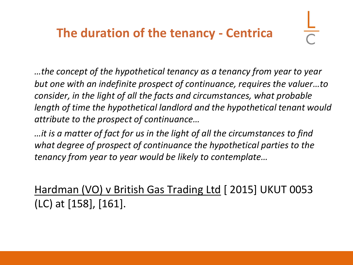### **The duration of the tenancy - Centrica**

*…the concept of the hypothetical tenancy as a tenancy from year to year but one with an indefinite prospect of continuance, requires the valuer…to consider, in the light of all the facts and circumstances, what probable length of time the hypothetical landlord and the hypothetical tenant would attribute to the prospect of continuance…*

*…it is a matter of fact for us in the light of all the circumstances to find what degree of prospect of continuance the hypothetical parties to the tenancy from year to year would be likely to contemplate…*

Hardman (VO) v British Gas Trading Ltd [ 2015] UKUT 0053 (LC) at [158], [161].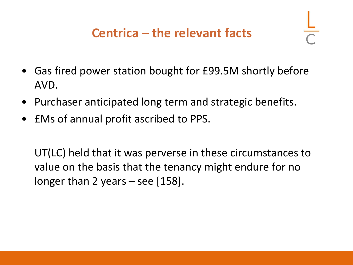- Gas fired power station bought for £99.5M shortly before AVD.
- Purchaser anticipated long term and strategic benefits.
- £Ms of annual profit ascribed to PPS.

UT(LC) held that it was perverse in these circumstances to value on the basis that the tenancy might endure for no longer than 2 years – see [158].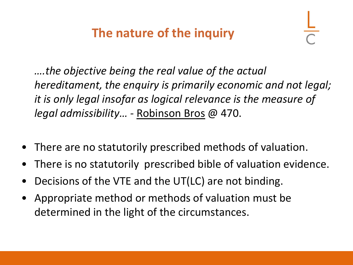## **The nature of the inquiry**

*….the objective being the real value of the actual hereditament, the enquiry is primarily economic and not legal; it is only legal insofar as logical relevance is the measure of legal admissibility… -* Robinson Bros @ 470.

- There are no statutorily prescribed methods of valuation.
- There is no statutorily prescribed bible of valuation evidence.
- Decisions of the VTE and the UT(LC) are not binding.
- Appropriate method or methods of valuation must be determined in the light of the circumstances.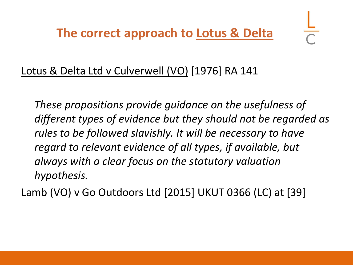**The correct approach to Lotus & Delta** 

#### Lotus & Delta Ltd v Culverwell (VO) [1976] RA 141

*These propositions provide guidance on the usefulness of different types of evidence but they should not be regarded as rules to be followed slavishly. It will be necessary to have regard to relevant evidence of all types, if available, but always with a clear focus on the statutory valuation hypothesis.*

Lamb (VO) v Go Outdoors Ltd [2015] UKUT 0366 (LC) at [39]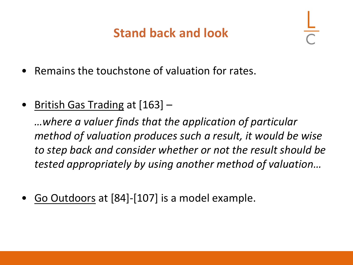## **Stand back and look**

- Remains the touchstone of valuation for rates.
- British Gas Trading at [163] –

*…where a valuer finds that the application of particular method of valuation produces such a result, it would be wise to step back and consider whether or not the result should be tested appropriately by using another method of valuation…*

• Go Outdoors at [84]-[107] is a model example.